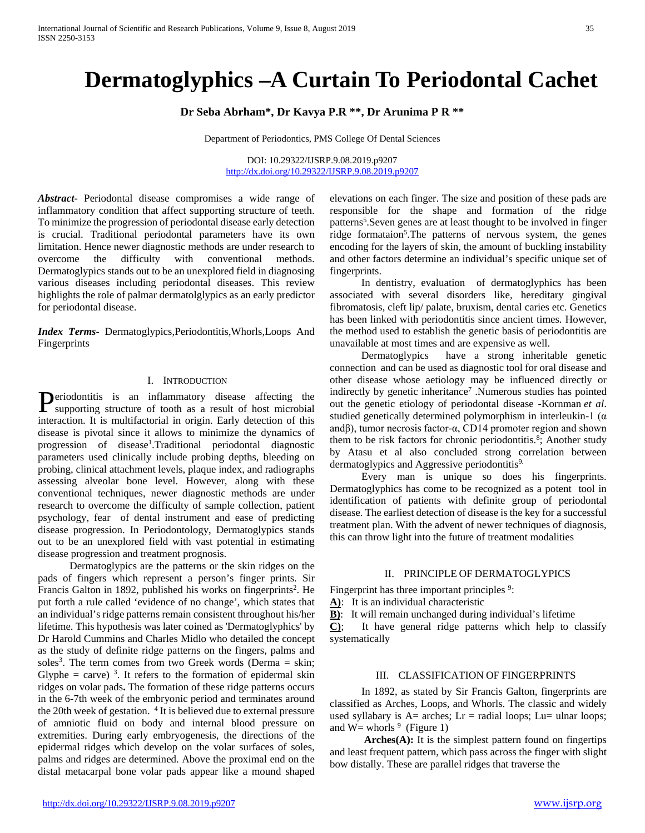# **Dermatoglyphics –A Curtain To Periodontal Cachet**

## **Dr Seba Abrham\*, Dr Kavya P.R \*\*, Dr Arunima P R \*\***

Department of Periodontics, PMS College Of Dental Sciences

DOI: 10.29322/IJSRP.9.08.2019.p9207 <http://dx.doi.org/10.29322/IJSRP.9.08.2019.p9207>

*Abstract***-** Periodontal disease compromises a wide range of inflammatory condition that affect supporting structure of teeth. To minimize the progression of periodontal disease early detection is crucial. Traditional periodontal parameters have its own limitation. Hence newer diagnostic methods are under research to overcome the difficulty with conventional methods. Dermatoglypics stands out to be an unexplored field in diagnosing various diseases including periodontal diseases. This review highlights the role of palmar dermatolglypics as an early predictor for periodontal disease.

*Index Terms*- Dermatoglypics,Periodontitis,Whorls,Loops And Fingerprints

## I. INTRODUCTION

eriodontitis is an inflammatory disease affecting the **Periodontitis** is an inflammatory disease affecting the supporting structure of tooth as a result of host microbial interaction. It is multifactorial in origin. Early detection of this disease is pivotal since it allows to minimize the dynamics of progression of disease<sup>1</sup>.Traditional periodontal diagnostic parameters used clinically include probing depths, bleeding on probing, clinical attachment levels, plaque index, and radiographs assessing alveolar bone level. However, along with these conventional techniques, newer diagnostic methods are under research to overcome the difficulty of sample collection, patient psychology, fear of dental instrument and ease of predicting disease progression. In Periodontology, Dermatoglypics stands out to be an unexplored field with vast potential in estimating disease progression and treatment prognosis.

 Dermatoglypics are the patterns or the skin ridges on the pads of fingers which represent a person's finger prints. Sir Francis Galton in 1892, published his works on fingerprints<sup>2</sup>. He put forth a rule called 'evidence of no change', which states that an individual's ridge patterns remain consistent throughout his/her lifetime. This hypothesis was later coined as 'Dermatoglyphics' by Dr Harold Cummins and Charles Midlo who detailed the concept as the study of definite ridge patterns on the fingers, palms and soles<sup>3</sup>. The term comes from two Greek words (Derma  $=$  skin; Glyphe = carve)<sup>3</sup>. It refers to the formation of epidermal skin ridges on volar pads**.** The formation of these ridge patterns occurs in the 6-7th week of the embryonic period and terminates around the 20th week of gestation. <sup>4</sup> It is believed due to external pressure of amniotic fluid on body and internal blood pressure on extremities. During early embryogenesis, the directions of the epidermal ridges which develop on the volar surfaces of soles, palms and ridges are determined. Above the proximal end on the distal metacarpal bone volar pads appear like a mound shaped

elevations on each finger. The size and position of these pads are responsible for the shape and formation of the ridge patterns<sup>5</sup>. Seven genes are at least thought to be involved in finger ridge formataion<sup>5</sup>. The patterns of nervous system, the genes encoding for the layers of skin, the amount of buckling instability and other factors determine an individual's specific unique set of fingerprints.

 In dentistry, evaluation of dermatoglyphics has been associated with several disorders like, hereditary gingival fibromatosis, cleft lip/ palate, bruxism, dental caries etc. Genetics has been linked with periodontitis since ancient times. However, the method used to establish the genetic basis of periodontitis are unavailable at most times and are expensive as well.

 Dermatoglypics have a strong inheritable genetic connection and can be used as diagnostic tool for oral disease and other disease whose aetiology may be influenced directly or indirectly by genetic inheritance<sup>7</sup> .Numerous studies has pointed out the genetic etiology of periodontal disease -Kornman *et al*. studied genetically determined polymorphism in interleukin-1 ( $\alpha$ ) andβ), tumor necrosis factor-α, CD14 promoter region and shown them to be risk factors for chronic periodontitis.<sup>8</sup>; Another study by Atasu et al also concluded strong correlation between dermatoglypics and Aggressive periodontitis<sup>9.</sup>

 Every man is unique so does his fingerprints. Dermatoglyphics has come to be recognized as a potent tool in identification of patients with definite group of periodontal disease. The earliest detection of disease is the key for a successful treatment plan. With the advent of newer techniques of diagnosis, this can throw light into the future of treatment modalities

#### II. PRINCIPLE OF DERMATOGLYPICS

Fingerprint has three important principles <sup>9</sup>:

**A)**: It is an individual characteristic

**B)**: It will remain unchanged during individual's lifetime **C)**; It have general ridge patterns which help to classify systematically

#### III. CLASSIFICATION OF FINGERPRINTS

 In 1892, as stated by Sir Francis Galton, fingerprints are classified as Arches, Loops, and Whorls. The classic and widely used syllabary is  $A=$  arches;  $Lr =$  radial loops;  $Lu=$  ulnar loops; and  $W=$  whorls  $9$  (Figure 1)

Arches(A): It is the simplest pattern found on fingertips and least frequent pattern, which pass across the finger with slight bow distally. These are parallel ridges that traverse the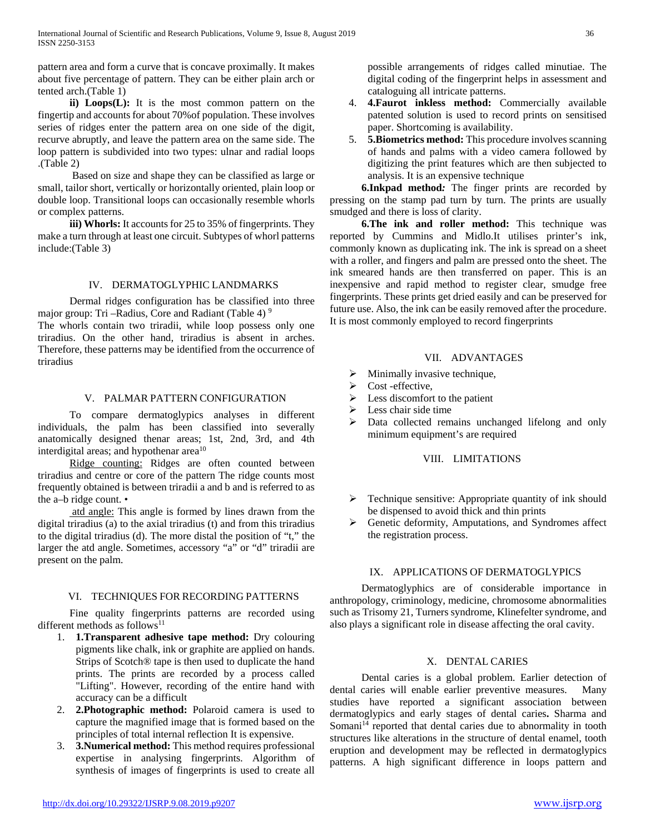pattern area and form a curve that is concave proximally. It makes about five percentage of pattern. They can be either plain arch or tented arch.(Table 1)

 **ii) Loops(L):** It is the most common pattern on the fingertip and accounts for about 70%of population. These involves series of ridges enter the pattern area on one side of the digit, recurve abruptly, and leave the pattern area on the same side. The loop pattern is subdivided into two types: ulnar and radial loops .(Table 2)

 Based on size and shape they can be classified as large or small, tailor short, vertically or horizontally oriented, plain loop or double loop. Transitional loops can occasionally resemble whorls or complex patterns.

**iii) Whorls:** It accounts for 25 to 35% of fingerprints. They make a turn through at least one circuit. Subtypes of whorl patterns include:(Table 3)

## IV. DERMATOGLYPHIC LANDMARKS

 Dermal ridges configuration has be classified into three major group: Tri –Radius, Core and Radiant (Table 4) 9 The whorls contain two triradii, while loop possess only one triradius. On the other hand, triradius is absent in arches. Therefore, these patterns may be identified from the occurrence of triradius

## V. PALMAR PATTERN CONFIGURATION

 To compare dermatoglypics analyses in different individuals, the palm has been classified into severally anatomically designed thenar areas; 1st, 2nd, 3rd, and 4th interdigital areas; and hypothenar  $area<sup>10</sup>$ 

 Ridge counting: Ridges are often counted between triradius and centre or core of the pattern The ridge counts most frequently obtained is between triradii a and b and is referred to as the a–b ridge count. •

 atd angle: This angle is formed by lines drawn from the digital triradius (a) to the axial triradius (t) and from this triradius to the digital triradius (d). The more distal the position of "t," the larger the atd angle. Sometimes, accessory "a" or "d" triradii are present on the palm.

# VI. TECHNIQUES FOR RECORDING PATTERNS

 Fine quality fingerprints patterns are recorded using different methods as follows<sup>11</sup>

- 1. **1.Transparent adhesive tape method:** Dry colouring pigments like chalk, ink or graphite are applied on hands. Strips of Scotch® tape is then used to duplicate the hand prints. The prints are recorded by a process called "Lifting". However, recording of the entire hand with accuracy can be a difficult
- 2. **2.Photographic method:** Polaroid camera is used to capture the magnified image that is formed based on the principles of total internal reflection It is expensive.
- 3. **3.Numerical method:** This method requires professional expertise in analysing fingerprints. Algorithm of synthesis of images of fingerprints is used to create all

possible arrangements of ridges called minutiae. The digital coding of the fingerprint helps in assessment and cataloguing all intricate patterns.

- 4. **4.Faurot inkless method:** Commercially available patented solution is used to record prints on sensitised paper. Shortcoming is availability.
- 5. **5.Biometrics method:** This procedure involves scanning of hands and palms with a video camera followed by digitizing the print features which are then subjected to analysis. It is an expensive technique

 **6.Inkpad method***:* The finger prints are recorded by pressing on the stamp pad turn by turn. The prints are usually smudged and there is loss of clarity.

 **6.The ink and roller method:** This technique was reported by Cummins and Midlo.It utilises printer's ink, commonly known as duplicating ink. The ink is spread on a sheet with a roller, and fingers and palm are pressed onto the sheet. The ink smeared hands are then transferred on paper. This is an inexpensive and rapid method to register clear, smudge free fingerprints. These prints get dried easily and can be preserved for future use. Also, the ink can be easily removed after the procedure. It is most commonly employed to record fingerprints

## VII. ADVANTAGES

- $\triangleright$  Minimally invasive technique,
- $\triangleright$  Cost -effective,
- $\triangleright$  Less discomfort to the patient
- $\blacktriangleright$  Less chair side time
- Data collected remains unchanged lifelong and only minimum equipment's are required

## VIII. LIMITATIONS

- $\triangleright$  Technique sensitive: Appropriate quantity of ink should be dispensed to avoid thick and thin prints
- Genetic deformity, Amputations, and Syndromes affect the registration process.

# IX. APPLICATIONS OF DERMATOGLYPICS

 Dermatoglyphics are of considerable importance in anthropology, criminology, medicine, chromosome abnormalities such as Trisomy 21, Turners syndrome, Klinefelter syndrome, and also plays a significant role in disease affecting the oral cavity.

## X. DENTAL CARIES

 Dental caries is a global problem. Earlier detection of dental caries will enable earlier preventive measures. Many studies have reported a significant association between dermatoglypics and early stages of dental caries**.** Sharma and Somani<sup>14</sup> reported that dental caries due to abnormality in tooth structures like alterations in the structure of dental enamel, tooth eruption and development may be reflected in dermatoglypics patterns. A high significant difference in loops pattern and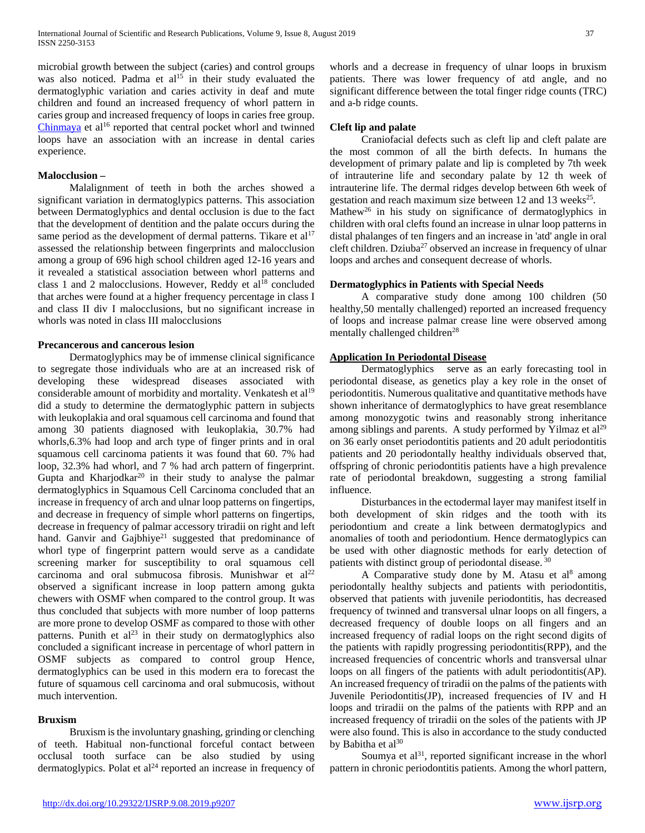microbial growth between the subject (caries) and control groups was also noticed. Padma et al<sup>15</sup> in their study evaluated the dermatoglyphic variation and caries activity in deaf and mute children and found an increased frequency of whorl pattern in caries group and increased frequency of loops in caries free group. [Chinmaya](http://www.jiaphd.org/searchresult.asp?search=&author=BR+Chinmaya&journal=Y&but_search=Search&entries=10&pg=1&s=0) et al<sup>16</sup> reported that central pocket whorl and twinned loops have an association with an increase in dental caries experience.

#### **Malocclusion –**

 Malalignment of teeth in both the arches showed a significant variation in dermatoglypics patterns. This association between Dermatoglyphics and dental occlusion is due to the fact that the development of dentition and the palate occurs during the same period as the development of dermal patterns. Tikare et  $al<sup>17</sup>$ assessed the relationship between fingerprints and malocclusion among a group of 696 high school children aged 12-16 years and it revealed a statistical association between whorl patterns and class 1 and 2 malocclusions. However, Reddy et  $al^{18}$  concluded that arches were found at a higher frequency percentage in class I and class II div I malocclusions, but no significant increase in whorls was noted in class III malocclusions

#### **Precancerous and cancerous lesion**

 Dermatoglyphics may be of immense clinical significance to segregate those individuals who are at an increased risk of developing these widespread diseases associated with considerable amount of morbidity and mortality. Venkatesh et al<sup>19</sup> did a study to determine the dermatoglyphic pattern in subjects with leukoplakia and oral squamous cell carcinoma and found that among 30 patients diagnosed with leukoplakia, 30.7% had whorls,6.3% had loop and arch type of finger prints and in oral squamous cell carcinoma patients it was found that 60. 7% had loop, 32.3% had whorl, and 7 % had arch pattern of fingerprint. Gupta and Kharjodkar $^{20}$  in their study to analyse the palmar dermatoglyphics in Squamous Cell Carcinoma concluded that an increase in frequency of arch and ulnar loop patterns on fingertips, and decrease in frequency of simple whorl patterns on fingertips, decrease in frequency of palmar accessory triradii on right and left hand. Ganvir and Gajbhiye<sup>21</sup> suggested that predominance of whorl type of fingerprint pattern would serve as a candidate screening marker for susceptibility to oral squamous cell carcinoma and oral submucosa fibrosis. Munishwar et  $al^{22}$ observed a significant increase in loop pattern among gukta chewers with OSMF when compared to the control group. It was thus concluded that subjects with more number of loop patterns are more prone to develop OSMF as compared to those with other patterns. Punith et  $al^{23}$  in their study on dermatoglyphics also concluded a significant increase in percentage of whorl pattern in OSMF subjects as compared to control group Hence, dermatoglyphics can be used in this modern era to forecast the future of squamous cell carcinoma and oral submucosis, without much intervention.

## **Bruxism**

 Bruxism is the involuntary gnashing, grinding or clenching of teeth. Habitual non-functional forceful contact between occlusal tooth surface can be also studied by using dermatoglypics. Polat et  $al<sup>24</sup>$  reported an increase in frequency of whorls and a decrease in frequency of ulnar loops in bruxism patients. There was lower frequency of atd angle, and no significant difference between the total finger ridge counts (TRC) and a-b ridge counts.

## **Cleft lip and palate**

 Craniofacial defects such as cleft lip and cleft palate are the most common of all the birth defects. In humans the development of primary palate and lip is completed by 7th week of intrauterine life and secondary palate by 12 th week of intrauterine life. The dermal ridges develop between 6th week of gestation and reach maximum size between 12 and 13 weeks $25$ . Mathew<sup>26</sup> in his study on significance of dermatoglyphics in children with oral clefts found an increase in ulnar loop patterns in distal phalanges of ten fingers and an increase in 'atd' angle in oral cleft children. Dziuba<sup>27</sup> observed an increase in frequency of ulnar loops and arches and consequent decrease of whorls.

#### **Dermatoglyphics in Patients with Special Needs**

 A comparative study done among 100 children (50 healthy,50 mentally challenged) reported an increased frequency of loops and increase palmar crease line were observed among mentally challenged children<sup>28</sup>

#### **Application In Periodontal Disease**

 Dermatoglyphics serve as an early forecasting tool in periodontal disease, as genetics play a key role in the onset of periodontitis. Numerous qualitative and quantitative methods have shown inheritance of dermatoglyphics to have great resemblance among monozygotic twins and reasonably strong inheritance among siblings and parents. A study performed by Yilmaz et  $al<sup>29</sup>$ on 36 early onset periodontitis patients and 20 adult periodontitis patients and 20 periodontally healthy individuals observed that, offspring of chronic periodontitis patients have a high prevalence rate of periodontal breakdown, suggesting a strong familial influence.

 Disturbances in the ectodermal layer may manifest itself in both development of skin ridges and the tooth with its periodontium and create a link between dermatoglypics and anomalies of tooth and periodontium. Hence dermatoglypics can be used with other diagnostic methods for early detection of patients with distinct group of periodontal disease. <sup>30</sup>

A Comparative study done by M. Atasu et al<sup>8</sup> among periodontally healthy subjects and patients with periodontitis, observed that patients with juvenile periodontitis, has decreased frequency of twinned and transversal ulnar loops on all fingers, a decreased frequency of double loops on all fingers and an increased frequency of radial loops on the right second digits of the patients with rapidly progressing periodontitis(RPP), and the increased frequencies of concentric whorls and transversal ulnar loops on all fingers of the patients with adult periodontitis(AP). An increased frequency of triradii on the palms of the patients with Juvenile Periodontitis(JP), increased frequencies of IV and H loops and triradii on the palms of the patients with RPP and an increased frequency of triradii on the soles of the patients with JP were also found. This is also in accordance to the study conducted by Babitha et  $al^{30}$ 

Soumya et  $al<sup>31</sup>$ , reported significant increase in the whorl pattern in chronic periodontitis patients. Among the whorl pattern,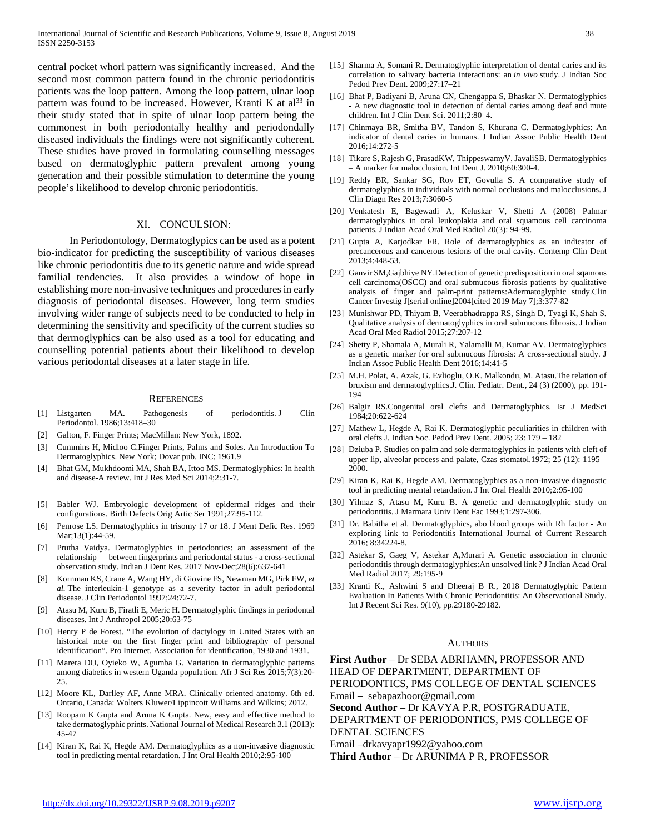central pocket whorl pattern was significantly increased. And the second most common pattern found in the chronic periodontitis patients was the loop pattern. Among the loop pattern, ulnar loop pattern was found to be increased. However, Kranti K at  $al^{33}$  in their study stated that in spite of ulnar loop pattern being the commonest in both periodontally healthy and periodondally diseased individuals the findings were not significantly coherent. These studies have proved in formulating counselling messages based on dermatoglyphic pattern prevalent among young generation and their possible stimulation to determine the young people's likelihood to develop chronic periodontitis.

#### XI. CONCULSION:

 In Periodontology, Dermatoglypics can be used as a potent bio-indicator for predicting the susceptibility of various diseases like chronic periodontitis due to its genetic nature and wide spread familial tendencies. It also provides a window of hope in establishing more non-invasive techniques and procedures in early diagnosis of periodontal diseases. However, long term studies involving wider range of subjects need to be conducted to help in determining the sensitivity and specificity of the current studies so that dermoglyphics can be also used as a tool for educating and counselling potential patients about their likelihood to develop various periodontal diseases at a later stage in life.

#### **REFERENCES**

- [1] Listgarten MA. Pathogenesis of periodontitis. J Clin Periodontol. 1986;13:418–30
- [2] Galton, F. Finger Prints; MacMillan: New York, 1892.
- [3] Cummins H, Midloo C.Finger Prints, Palms and Soles. An Introduction To Dermatoglyphics. New York; Dovar pub. INC; 1961.9
- [4] Bhat GM, Mukhdoomi MA, Shah BA, Ittoo MS. Dermatoglyphics: In health and disease-A review. Int J Res Med Sci 2014;2:31-7.
- [5] Babler WJ. Embryologic development of epidermal ridges and their configurations. Birth Defects Orig Artic Ser 1991;27:95-112.
- [6] Penrose LS. Dermatoglyphics in trisomy 17 or 18. J Ment Defic Res. 1969 Mar;13(1):44-59.
- [7] Prutha Vaidya. Dermatoglyphics in periodontics: an assessment of the relationship between fingerprints and periodontal status - a cross-sectional observation study. [Indian J Dent Res.](https://www.ncbi.nlm.nih.gov/pubmed/29256461) 2017 Nov-Dec;28(6):637-641
- [8] Kornman KS, Crane A, Wang HY, di Giovine FS, Newman MG, Pirk FW, *et al.* The interleukin-1 genotype as a severity factor in adult periodontal disease. J Clin Periodontol 1997;24:72-7.
- [9] Atasu M, Kuru B, Firatli E, Meric H. Dermatoglyphic findings in periodontal diseases. Int J Anthropol 2005;20:63-75
- [10] Henry P de Forest. "The evolution of dactylogy in United States with an historical note on the first finger print and bibliography of personal identification". Pro Internet. Association for identification, 1930 and 1931.
- [11] Marera DO, Oyieko W, Agumba G. Variation in dermatoglyphic patterns among diabetics in western Uganda population. Afr J Sci Res 2015;7(3):20- 25.
- [12] Moore KL, Darlley AF, Anne MRA. Clinically oriented anatomy. 6th ed. Ontario, Canada: Wolters Kluwer/Lippincott Williams and Wilkins; 2012.
- [13] Roopam K Gupta and Aruna K Gupta. New, easy and effective method to take dermatoglyphic prints. National Journal of Medical Research 3.1 (2013): 45-47
- [14] Kiran K, Rai K, Hegde AM. Dermatoglyphics as a non-invasive diagnostic tool in predicting mental retardation. J Int Oral Health 2010;2:95-100
- [15] Sharma A, Somani R. Dermatoglyphic interpretation of dental caries and its correlation to salivary bacteria interactions: an *in vivo* study. J Indian Soc Pedod Prev Dent. 2009;27:17–21
- [16] Bhat P, Badiyani B, Aruna CN, Chengappa S, Bhaskar N. Dermatoglyphics - A new diagnostic tool in detection of dental caries among deaf and mute children. Int J Clin Dent Sci. 2011;2:80–4.
- [17] Chinmaya BR, Smitha BV, Tandon S, Khurana C. Dermatoglyphics: An indicator of dental caries in humans. J Indian Assoc Public Health Dent 2016;14:272-5
- [18] Tikare S, Rajesh G, PrasadKW, ThippeswamyV, JavaliSB. Dermatoglyphics – A marker for malocclusion. Int Dent J. 2010;60:300-4.
- [19] Reddy BR, Sankar SG, Roy ET, Govulla S. A comparative study of dermatoglyphics in individuals with normal occlusions and malocclusions. J Clin Diagn Res 2013;7:3060-5
- [20] Venkatesh E, Bagewadi A, Keluskar V, Shetti A (2008) Palmar dermatoglyphics in oral leukoplakia and oral squamous cell carcinoma patients. J Indian Acad Oral Med Radiol 20(3): 94-99.
- [21] Gupta A, Karjodkar FR. Role of dermatoglyphics as an indicator of precancerous and cancerous lesions of the oral cavity. Contemp Clin Dent 2013;4:448-53.
- [22] Ganvir SM,Gajbhiye NY.Detection of genetic predisposition in oral sqamous cell carcinoma(OSCC) and oral submucous fibrosis patients by qualitative analysis of finger and palm-print patterns:Adermatoglyphic study.Clin Cancer Investig J[serial online]2004[cited 2019 May 7];3:377-82
- [23] Munishwar PD, Thiyam B, Veerabhadrappa RS, Singh D, Tyagi K, Shah S. Qualitative analysis of dermatoglyphics in oral submucous fibrosis. J Indian Acad Oral Med Radiol 2015;27:207-12
- [24] Shetty P, Shamala A, Murali R, Yalamalli M, Kumar AV. Dermatoglyphics as a genetic marker for oral submucous fibrosis: A cross-sectional study. J Indian Assoc Public Health Dent 2016;14:41-5
- [25] M.H. Polat, A. Azak, G. Evlioglu, O.K. Malkondu, M. Atasu.The relation of bruxism and dermatoglyphics.J. Clin. Pediatr. Dent., 24 (3) (2000), pp. 191- 194
- [26] Balgir RS.Congenital oral clefts and Dermatoglyphics. Isr J MedSci 1984;20:622-624
- [27] Mathew L, Hegde A, Rai K. Dermatoglyphic peculiarities in children with oral clefts J. Indian Soc. Pedod Prev Dent. 2005; 23: 179 – 182
- [28] Dziuba P. Studies on palm and sole dermatoglyphics in patients with cleft of upper lip, alveolar process and palate, Czas stomatol.1972; 25 (12): 1195 – 2000.
- [29] Kiran K, Rai K, Hegde AM. Dermatoglyphics as a non-invasive diagnostic tool in predicting mental retardation. J Int Oral Health 2010;2:95-100
- [30] Yilmaz S, Atasu M, Kuru B. A genetic and dermatoglyphic study on periodontitis. J Marmara Univ Dent Fac 1993;1:297-306.
- [31] Dr. Babitha et al. Dermatoglyphics, abo blood groups with Rh factor An exploring link to Periodontitis International Journal of Current Research 2016; 8:34224-8.
- [32] Astekar S, Gaeg V, Astekar A,Murari A. Genetic association in chronic periodontitis through dermatoglyphics:An unsolved link ? J Indian Acad Oral Med Radiol 2017; 29:195-9
- [33] Kranti K., Ashwini S and Dheeraj B R., 2018 Dermatoglyphic Pattern Evaluation In Patients With Chronic Periodontitis: An Observational Study. Int J Recent Sci Res. 9(10), pp.29180-29182.

#### AUTHORS

**First Author** – Dr SEBA ABRHAMN, PROFESSOR AND HEAD OF DEPARTMENT, DEPARTMENT OF PERIODONTICS, PMS COLLEGE OF DENTAL SCIENCES Email – sebapazhoor@gmail.com

**Second Author** – Dr KAVYA P.R, POSTGRADUATE,

DEPARTMENT OF PERIODONTICS, PMS COLLEGE OF DENTAL SCIENCES

Email –drkavyapr1992@yahoo.com

**Third Author** – Dr ARUNIMA P R, PROFESSOR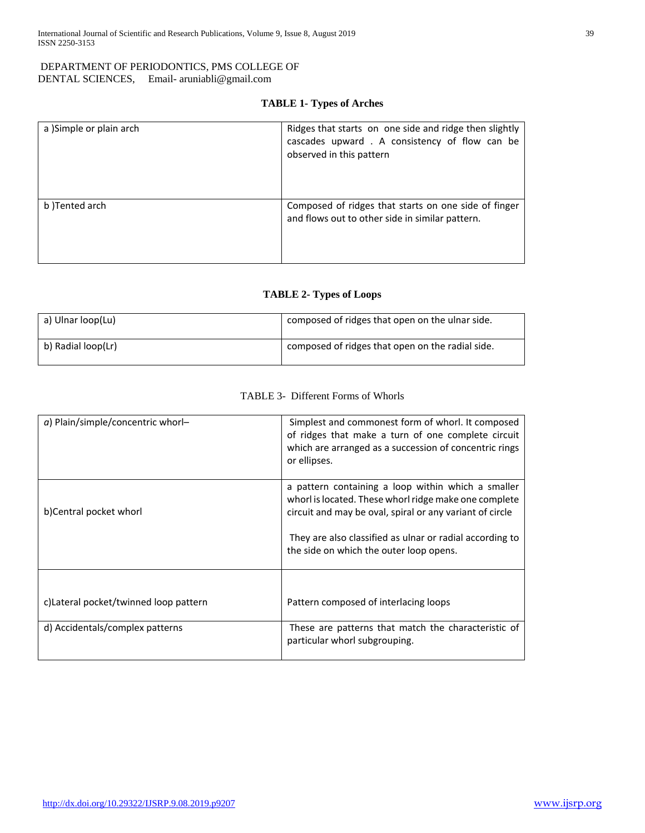## DEPARTMENT OF PERIODONTICS, PMS COLLEGE OF DENTAL SCIENCES, Email- aruniabli@gmail.com

# **TABLE 1- Types of Arches**

| a )Simple or plain arch | Ridges that starts on one side and ridge then slightly<br>cascades upward . A consistency of flow can be<br>observed in this pattern |
|-------------------------|--------------------------------------------------------------------------------------------------------------------------------------|
| b)Tented arch           | Composed of ridges that starts on one side of finger<br>and flows out to other side in similar pattern.                              |

## **TABLE 2- Types of Loops**

| a) Ulnar loop(Lu)  | composed of ridges that open on the ulnar side.  |
|--------------------|--------------------------------------------------|
| b) Radial loop(Lr) | composed of ridges that open on the radial side. |

## TABLE 3- Different Forms of Whorls

| $a)$ Plain/simple/concentric whorl-   | Simplest and commonest form of whorl. It composed<br>of ridges that make a turn of one complete circuit<br>which are arranged as a succession of concentric rings<br>or ellipses.                                                                                              |
|---------------------------------------|--------------------------------------------------------------------------------------------------------------------------------------------------------------------------------------------------------------------------------------------------------------------------------|
| b)Central pocket whorl                | a pattern containing a loop within which a smaller<br>whorl is located. These whorl ridge make one complete<br>circuit and may be oval, spiral or any variant of circle<br>They are also classified as ulnar or radial according to<br>the side on which the outer loop opens. |
| c)Lateral pocket/twinned loop pattern | Pattern composed of interlacing loops                                                                                                                                                                                                                                          |
| d) Accidentals/complex patterns       | These are patterns that match the characteristic of<br>particular whorl subgrouping.                                                                                                                                                                                           |